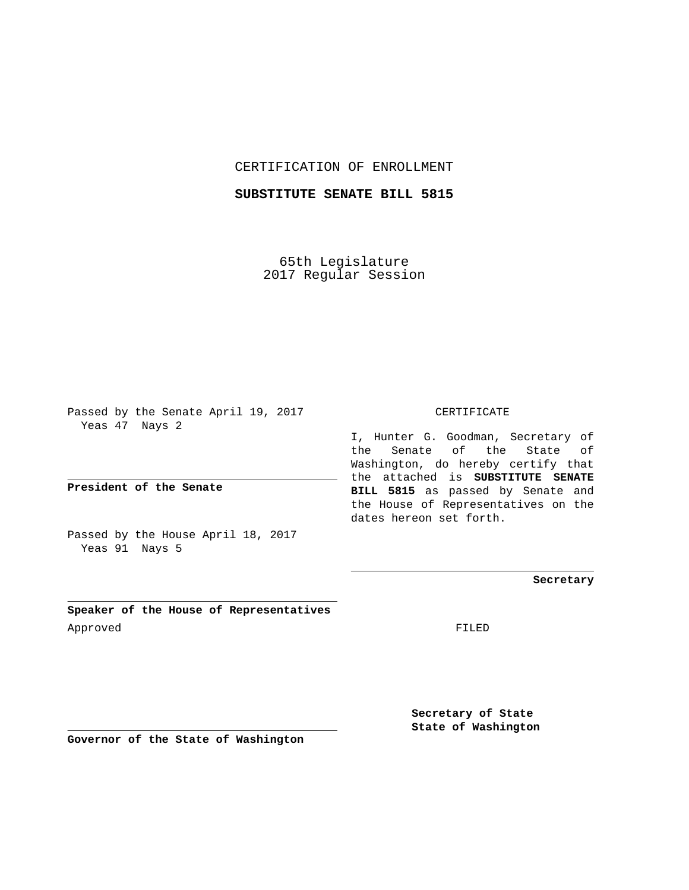### CERTIFICATION OF ENROLLMENT

## **SUBSTITUTE SENATE BILL 5815**

65th Legislature 2017 Regular Session

Passed by the Senate April 19, 2017 Yeas 47 Nays 2

**President of the Senate**

Passed by the House April 18, 2017 Yeas 91 Nays 5

**Speaker of the House of Representatives** Approved FILED

#### CERTIFICATE

I, Hunter G. Goodman, Secretary of the Senate of the State of Washington, do hereby certify that the attached is **SUBSTITUTE SENATE BILL 5815** as passed by Senate and the House of Representatives on the dates hereon set forth.

**Secretary**

**Secretary of State State of Washington**

**Governor of the State of Washington**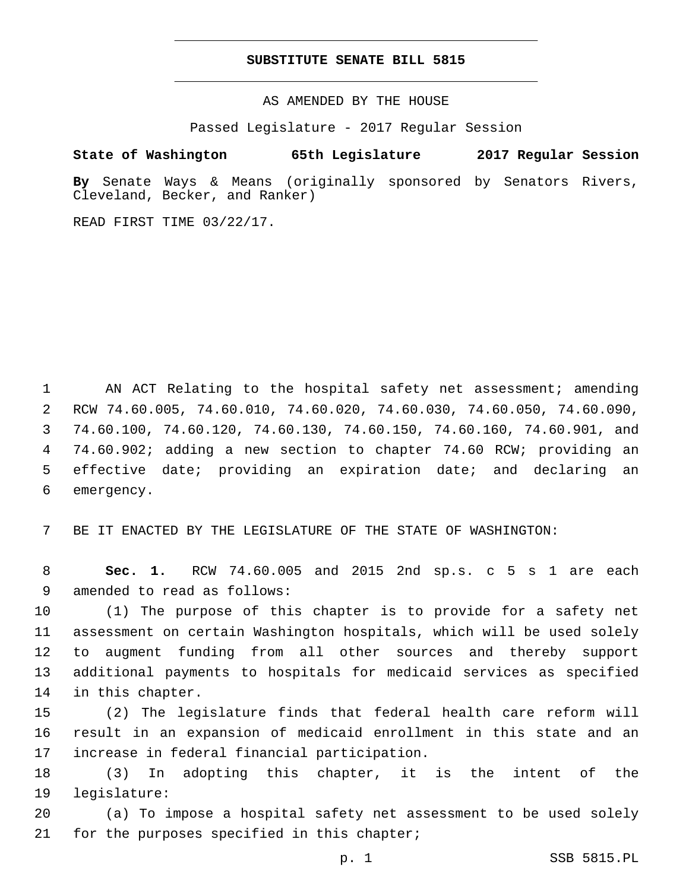#### **SUBSTITUTE SENATE BILL 5815**

AS AMENDED BY THE HOUSE

Passed Legislature - 2017 Regular Session

# **State of Washington 65th Legislature 2017 Regular Session**

**By** Senate Ways & Means (originally sponsored by Senators Rivers, Cleveland, Becker, and Ranker)

READ FIRST TIME 03/22/17.

1 AN ACT Relating to the hospital safety net assessment; amending RCW 74.60.005, 74.60.010, 74.60.020, 74.60.030, 74.60.050, 74.60.090, 74.60.100, 74.60.120, 74.60.130, 74.60.150, 74.60.160, 74.60.901, and 74.60.902; adding a new section to chapter 74.60 RCW; providing an effective date; providing an expiration date; and declaring an 6 emergency.

7 BE IT ENACTED BY THE LEGISLATURE OF THE STATE OF WASHINGTON:

8 **Sec. 1.** RCW 74.60.005 and 2015 2nd sp.s. c 5 s 1 are each 9 amended to read as follows:

 (1) The purpose of this chapter is to provide for a safety net assessment on certain Washington hospitals, which will be used solely to augment funding from all other sources and thereby support additional payments to hospitals for medicaid services as specified 14 in this chapter.

15 (2) The legislature finds that federal health care reform will 16 result in an expansion of medicaid enrollment in this state and an 17 increase in federal financial participation.

18 (3) In adopting this chapter, it is the intent of the 19 legislature:

20 (a) To impose a hospital safety net assessment to be used solely 21 for the purposes specified in this chapter;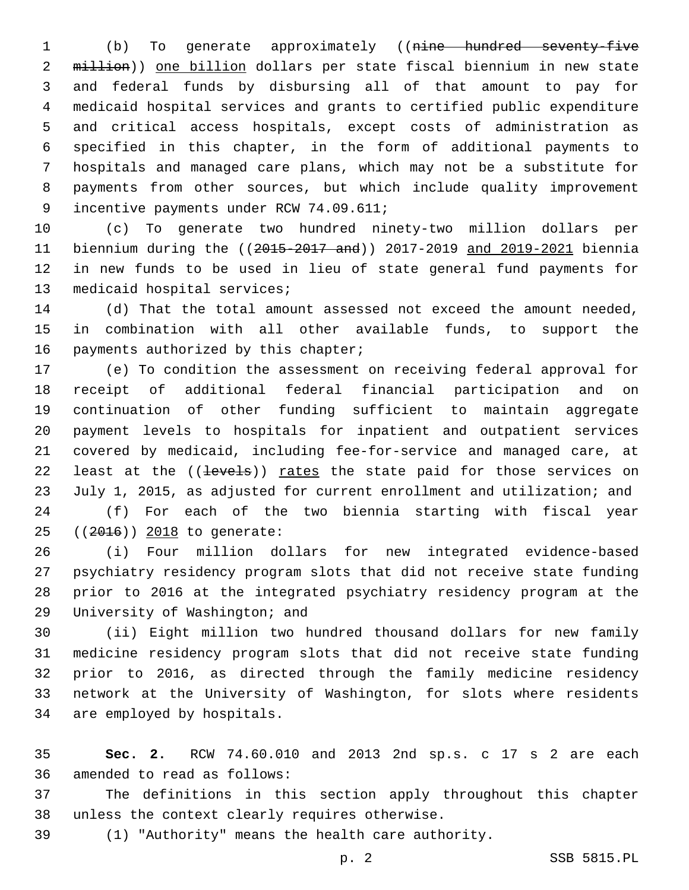(b) To generate approximately ((nine hundred seventy-five 2 million)) one billion dollars per state fiscal biennium in new state and federal funds by disbursing all of that amount to pay for medicaid hospital services and grants to certified public expenditure and critical access hospitals, except costs of administration as specified in this chapter, in the form of additional payments to hospitals and managed care plans, which may not be a substitute for payments from other sources, but which include quality improvement 9 incentive payments under RCW 74.09.611;

 (c) To generate two hundred ninety-two million dollars per biennium during the ((2015-2017 and)) 2017-2019 and 2019-2021 biennia in new funds to be used in lieu of state general fund payments for 13 medicaid hospital services;

 (d) That the total amount assessed not exceed the amount needed, in combination with all other available funds, to support the 16 payments authorized by this chapter;

 (e) To condition the assessment on receiving federal approval for receipt of additional federal financial participation and on continuation of other funding sufficient to maintain aggregate payment levels to hospitals for inpatient and outpatient services covered by medicaid, including fee-for-service and managed care, at 22 least at the ((levels)) rates the state paid for those services on July 1, 2015, as adjusted for current enrollment and utilization; and

 (f) For each of the two biennia starting with fiscal year 25 ((2016)) 2018 to generate:

 (i) Four million dollars for new integrated evidence-based psychiatry residency program slots that did not receive state funding prior to 2016 at the integrated psychiatry residency program at the 29 University of Washington; and

 (ii) Eight million two hundred thousand dollars for new family medicine residency program slots that did not receive state funding prior to 2016, as directed through the family medicine residency network at the University of Washington, for slots where residents 34 are employed by hospitals.

 **Sec. 2.** RCW 74.60.010 and 2013 2nd sp.s. c 17 s 2 are each 36 amended to read as follows:

 The definitions in this section apply throughout this chapter 38 unless the context clearly requires otherwise.

(1) "Authority" means the health care authority.

p. 2 SSB 5815.PL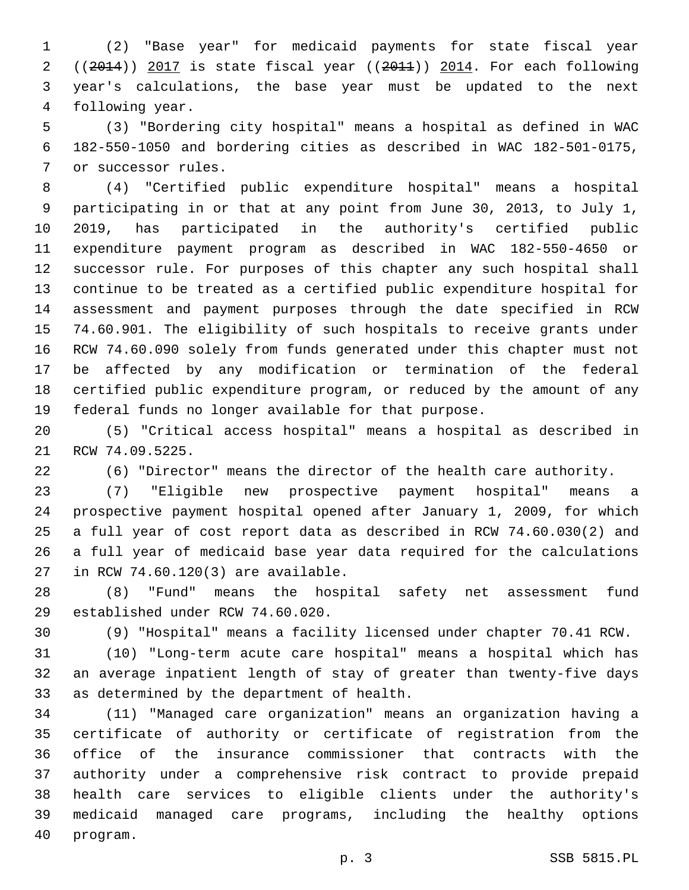(2) "Base year" for medicaid payments for state fiscal year ((2014)) 2017 is state fiscal year ((2011)) 2014. For each following year's calculations, the base year must be updated to the next 4 following year.

 (3) "Bordering city hospital" means a hospital as defined in WAC 182-550-1050 and bordering cities as described in WAC 182-501-0175, 7 or successor rules.

 (4) "Certified public expenditure hospital" means a hospital participating in or that at any point from June 30, 2013, to July 1, 2019, has participated in the authority's certified public expenditure payment program as described in WAC 182-550-4650 or successor rule. For purposes of this chapter any such hospital shall continue to be treated as a certified public expenditure hospital for assessment and payment purposes through the date specified in RCW 74.60.901. The eligibility of such hospitals to receive grants under RCW 74.60.090 solely from funds generated under this chapter must not be affected by any modification or termination of the federal certified public expenditure program, or reduced by the amount of any federal funds no longer available for that purpose.

 (5) "Critical access hospital" means a hospital as described in 21 RCW 74.09.5225.

(6) "Director" means the director of the health care authority.

 (7) "Eligible new prospective payment hospital" means a prospective payment hospital opened after January 1, 2009, for which a full year of cost report data as described in RCW 74.60.030(2) and a full year of medicaid base year data required for the calculations 27 in RCW 74.60.120(3) are available.

 (8) "Fund" means the hospital safety net assessment fund 29 established under RCW 74.60.020.

(9) "Hospital" means a facility licensed under chapter 70.41 RCW.

 (10) "Long-term acute care hospital" means a hospital which has an average inpatient length of stay of greater than twenty-five days 33 as determined by the department of health.

 (11) "Managed care organization" means an organization having a certificate of authority or certificate of registration from the office of the insurance commissioner that contracts with the authority under a comprehensive risk contract to provide prepaid health care services to eligible clients under the authority's medicaid managed care programs, including the healthy options 40 program.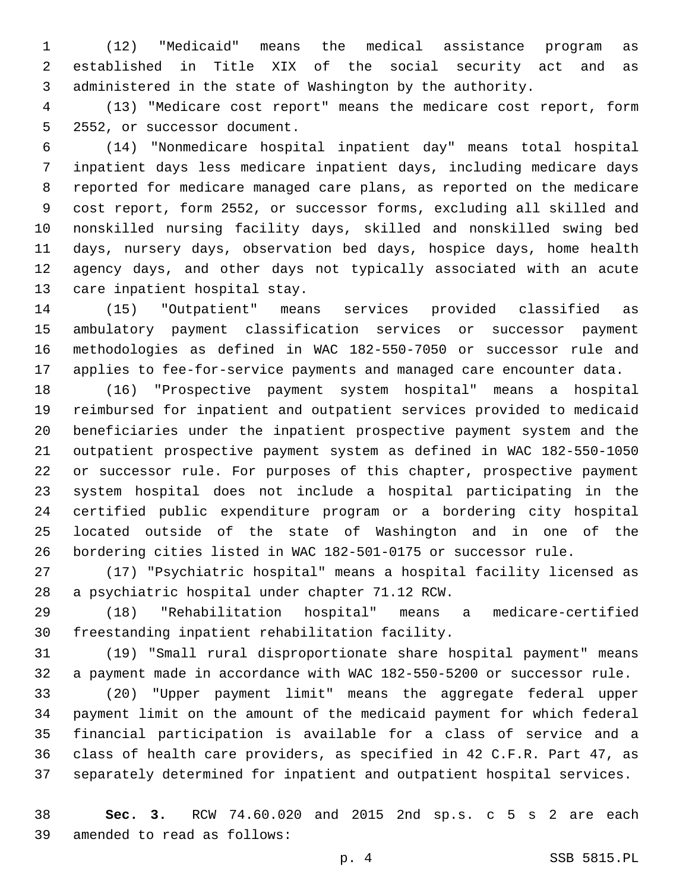(12) "Medicaid" means the medical assistance program as established in Title XIX of the social security act and as administered in the state of Washington by the authority.

 (13) "Medicare cost report" means the medicare cost report, form 5 2552, or successor document.

 (14) "Nonmedicare hospital inpatient day" means total hospital inpatient days less medicare inpatient days, including medicare days reported for medicare managed care plans, as reported on the medicare cost report, form 2552, or successor forms, excluding all skilled and nonskilled nursing facility days, skilled and nonskilled swing bed days, nursery days, observation bed days, hospice days, home health agency days, and other days not typically associated with an acute 13 care inpatient hospital stay.

 (15) "Outpatient" means services provided classified as ambulatory payment classification services or successor payment methodologies as defined in WAC 182-550-7050 or successor rule and applies to fee-for-service payments and managed care encounter data.

 (16) "Prospective payment system hospital" means a hospital reimbursed for inpatient and outpatient services provided to medicaid beneficiaries under the inpatient prospective payment system and the outpatient prospective payment system as defined in WAC 182-550-1050 or successor rule. For purposes of this chapter, prospective payment system hospital does not include a hospital participating in the certified public expenditure program or a bordering city hospital located outside of the state of Washington and in one of the bordering cities listed in WAC 182-501-0175 or successor rule.

 (17) "Psychiatric hospital" means a hospital facility licensed as 28 a psychiatric hospital under chapter 71.12 RCW.

 (18) "Rehabilitation hospital" means a medicare-certified 30 freestanding inpatient rehabilitation facility.

 (19) "Small rural disproportionate share hospital payment" means a payment made in accordance with WAC 182-550-5200 or successor rule.

 (20) "Upper payment limit" means the aggregate federal upper payment limit on the amount of the medicaid payment for which federal financial participation is available for a class of service and a class of health care providers, as specified in 42 C.F.R. Part 47, as separately determined for inpatient and outpatient hospital services.

 **Sec. 3.** RCW 74.60.020 and 2015 2nd sp.s. c 5 s 2 are each 39 amended to read as follows: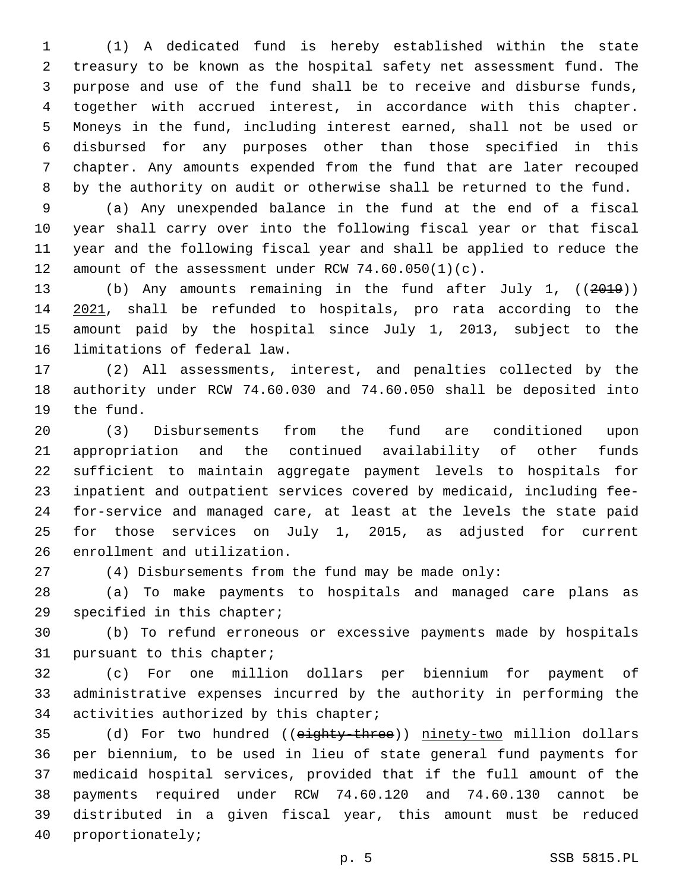(1) A dedicated fund is hereby established within the state treasury to be known as the hospital safety net assessment fund. The purpose and use of the fund shall be to receive and disburse funds, together with accrued interest, in accordance with this chapter. Moneys in the fund, including interest earned, shall not be used or disbursed for any purposes other than those specified in this chapter. Any amounts expended from the fund that are later recouped by the authority on audit or otherwise shall be returned to the fund.

 (a) Any unexpended balance in the fund at the end of a fiscal year shall carry over into the following fiscal year or that fiscal year and the following fiscal year and shall be applied to reduce the 12 amount of the assessment under RCW  $74.60.050(1)(c)$ .

 (b) Any amounts remaining in the fund after July 1, ((2019)) 2021, shall be refunded to hospitals, pro rata according to the amount paid by the hospital since July 1, 2013, subject to the 16 limitations of federal law.

 (2) All assessments, interest, and penalties collected by the authority under RCW 74.60.030 and 74.60.050 shall be deposited into 19 the fund.

 (3) Disbursements from the fund are conditioned upon appropriation and the continued availability of other funds sufficient to maintain aggregate payment levels to hospitals for inpatient and outpatient services covered by medicaid, including fee- for-service and managed care, at least at the levels the state paid for those services on July 1, 2015, as adjusted for current 26 enrollment and utilization.

(4) Disbursements from the fund may be made only:

 (a) To make payments to hospitals and managed care plans as 29 specified in this chapter;

 (b) To refund erroneous or excessive payments made by hospitals 31 pursuant to this chapter;

 (c) For one million dollars per biennium for payment of administrative expenses incurred by the authority in performing the 34 activities authorized by this chapter;

35 (d) For two hundred ((eighty-three)) ninety-two million dollars per biennium, to be used in lieu of state general fund payments for medicaid hospital services, provided that if the full amount of the payments required under RCW 74.60.120 and 74.60.130 cannot be distributed in a given fiscal year, this amount must be reduced 40 proportionately;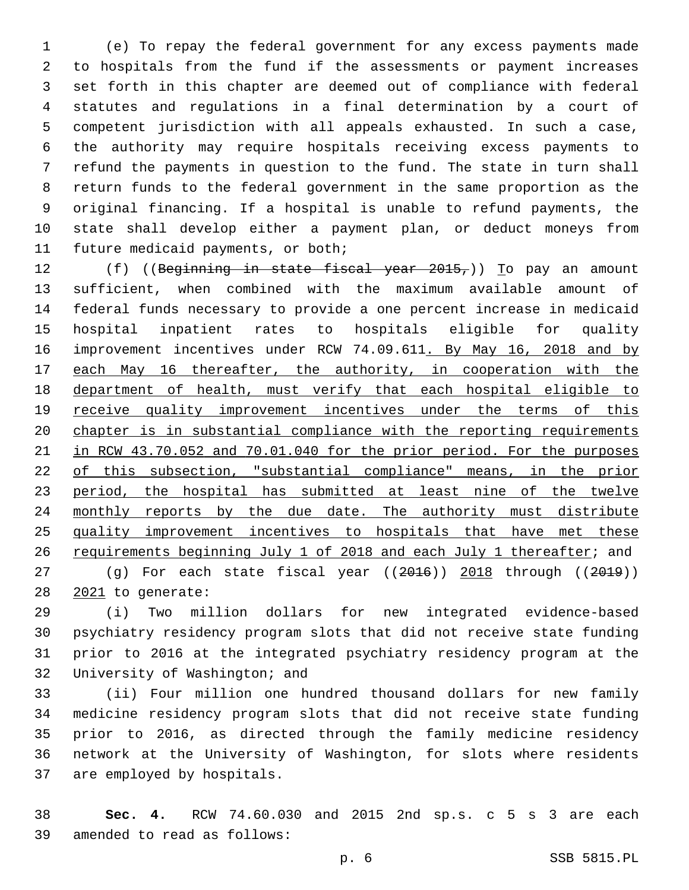(e) To repay the federal government for any excess payments made to hospitals from the fund if the assessments or payment increases set forth in this chapter are deemed out of compliance with federal statutes and regulations in a final determination by a court of competent jurisdiction with all appeals exhausted. In such a case, the authority may require hospitals receiving excess payments to refund the payments in question to the fund. The state in turn shall return funds to the federal government in the same proportion as the original financing. If a hospital is unable to refund payments, the state shall develop either a payment plan, or deduct moneys from 11 future medicaid payments, or both;

12 (f) ((Beginning in state fiscal year 2015,)) To pay an amount sufficient, when combined with the maximum available amount of federal funds necessary to provide a one percent increase in medicaid hospital inpatient rates to hospitals eligible for quality 16 improvement incentives under RCW 74.09.611. By May 16, 2018 and by each May 16 thereafter, the authority, in cooperation with the department of health, must verify that each hospital eligible to 19 receive quality improvement incentives under the terms of this chapter is in substantial compliance with the reporting requirements in RCW 43.70.052 and 70.01.040 for the prior period. For the purposes of this subsection, "substantial compliance" means, in the prior 23 period, the hospital has submitted at least nine of the twelve 24 monthly reports by the due date. The authority must distribute quality improvement incentives to hospitals that have met these requirements beginning July 1 of 2018 and each July 1 thereafter; and 27 (g) For each state fiscal year ((2016)) 2018 through ((2019))

28 2021 to generate:

 (i) Two million dollars for new integrated evidence-based psychiatry residency program slots that did not receive state funding prior to 2016 at the integrated psychiatry residency program at the 32 University of Washington; and

 (ii) Four million one hundred thousand dollars for new family medicine residency program slots that did not receive state funding prior to 2016, as directed through the family medicine residency network at the University of Washington, for slots where residents 37 are employed by hospitals.

 **Sec. 4.** RCW 74.60.030 and 2015 2nd sp.s. c 5 s 3 are each 39 amended to read as follows: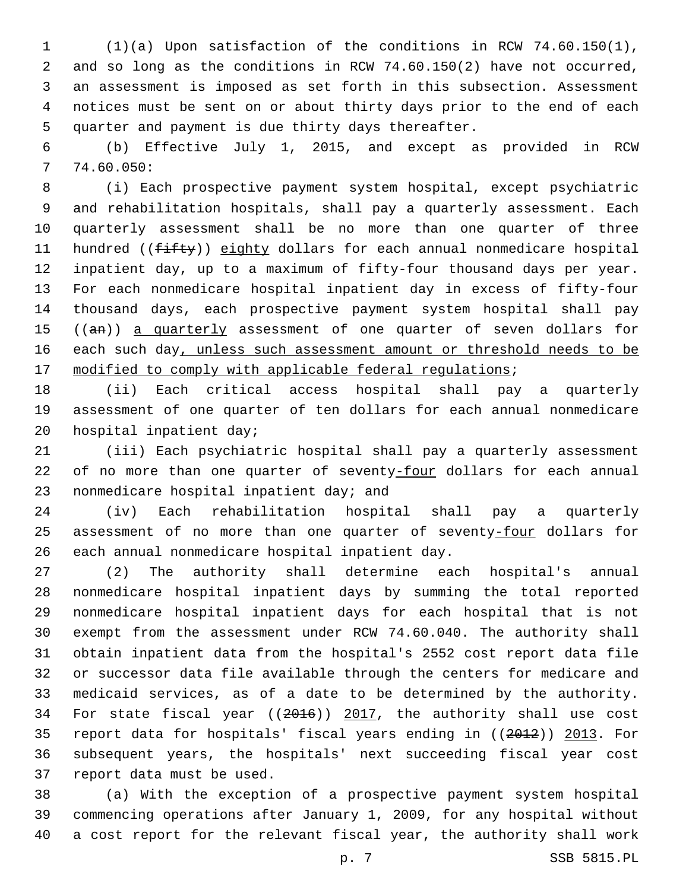(1)(a) Upon satisfaction of the conditions in RCW 74.60.150(1), and so long as the conditions in RCW 74.60.150(2) have not occurred, an assessment is imposed as set forth in this subsection. Assessment notices must be sent on or about thirty days prior to the end of each 5 quarter and payment is due thirty days thereafter.

 (b) Effective July 1, 2015, and except as provided in RCW  $7, 74.60.050:$ 

 (i) Each prospective payment system hospital, except psychiatric and rehabilitation hospitals, shall pay a quarterly assessment. Each quarterly assessment shall be no more than one quarter of three 11 hundred ((fifty)) eighty dollars for each annual nonmedicare hospital inpatient day, up to a maximum of fifty-four thousand days per year. For each nonmedicare hospital inpatient day in excess of fifty-four thousand days, each prospective payment system hospital shall pay 15 ((an)) a quarterly assessment of one quarter of seven dollars for 16 each such day, unless such assessment amount or threshold needs to be 17 modified to comply with applicable federal regulations;

 (ii) Each critical access hospital shall pay a quarterly assessment of one quarter of ten dollars for each annual nonmedicare 20 hospital inpatient day;

 (iii) Each psychiatric hospital shall pay a quarterly assessment of no more than one quarter of seventy-four dollars for each annual 23 nonmedicare hospital inpatient day; and

 (iv) Each rehabilitation hospital shall pay a quarterly 25 assessment of no more than one quarter of seventy-four dollars for 26 each annual nonmedicare hospital inpatient day.

 (2) The authority shall determine each hospital's annual nonmedicare hospital inpatient days by summing the total reported nonmedicare hospital inpatient days for each hospital that is not exempt from the assessment under RCW 74.60.040. The authority shall obtain inpatient data from the hospital's 2552 cost report data file or successor data file available through the centers for medicare and medicaid services, as of a date to be determined by the authority. 34 For state fiscal year ((2016)) 2017, the authority shall use cost report data for hospitals' fiscal years ending in ((2012)) 2013. For subsequent years, the hospitals' next succeeding fiscal year cost 37 report data must be used.

 (a) With the exception of a prospective payment system hospital commencing operations after January 1, 2009, for any hospital without a cost report for the relevant fiscal year, the authority shall work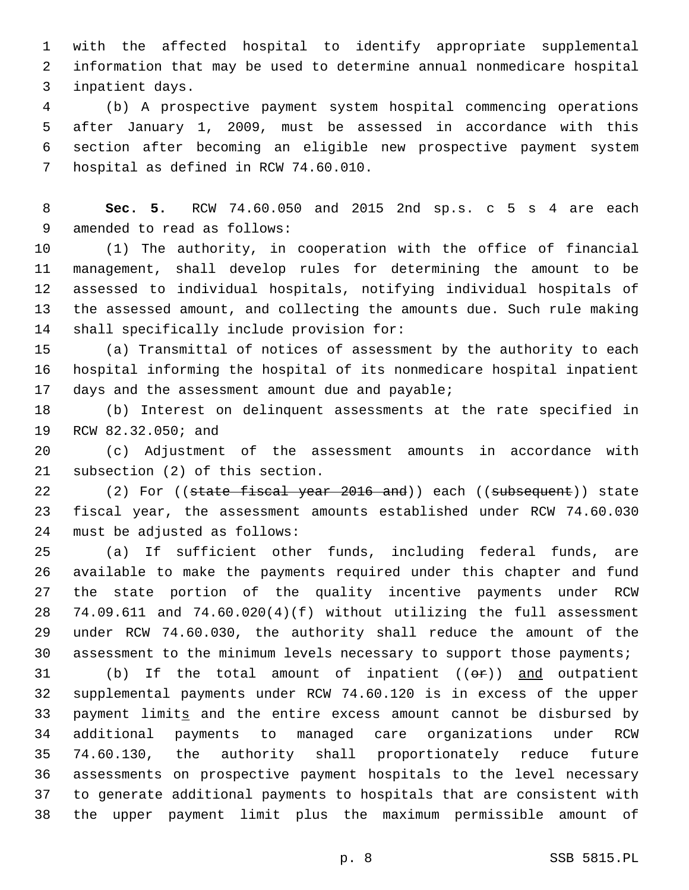with the affected hospital to identify appropriate supplemental information that may be used to determine annual nonmedicare hospital 3 inpatient days.

 (b) A prospective payment system hospital commencing operations after January 1, 2009, must be assessed in accordance with this section after becoming an eligible new prospective payment system 7 hospital as defined in RCW 74.60.010.

 **Sec. 5.** RCW 74.60.050 and 2015 2nd sp.s. c 5 s 4 are each 9 amended to read as follows:

 (1) The authority, in cooperation with the office of financial management, shall develop rules for determining the amount to be assessed to individual hospitals, notifying individual hospitals of the assessed amount, and collecting the amounts due. Such rule making 14 shall specifically include provision for:

 (a) Transmittal of notices of assessment by the authority to each hospital informing the hospital of its nonmedicare hospital inpatient 17 days and the assessment amount due and payable;

 (b) Interest on delinquent assessments at the rate specified in 19 RCW 82.32.050; and

 (c) Adjustment of the assessment amounts in accordance with 21 subsection (2) of this section.

22 (2) For ((state fiscal year 2016 and)) each ((subsequent)) state fiscal year, the assessment amounts established under RCW 74.60.030 24 must be adjusted as follows:

 (a) If sufficient other funds, including federal funds, are available to make the payments required under this chapter and fund the state portion of the quality incentive payments under RCW 74.09.611 and 74.60.020(4)(f) without utilizing the full assessment under RCW 74.60.030, the authority shall reduce the amount of the assessment to the minimum levels necessary to support those payments;

31 (b) If the total amount of inpatient  $((\theta \cdot \mathbf{r}))$  and outpatient supplemental payments under RCW 74.60.120 is in excess of the upper 33 payment limits and the entire excess amount cannot be disbursed by additional payments to managed care organizations under RCW 74.60.130, the authority shall proportionately reduce future assessments on prospective payment hospitals to the level necessary to generate additional payments to hospitals that are consistent with the upper payment limit plus the maximum permissible amount of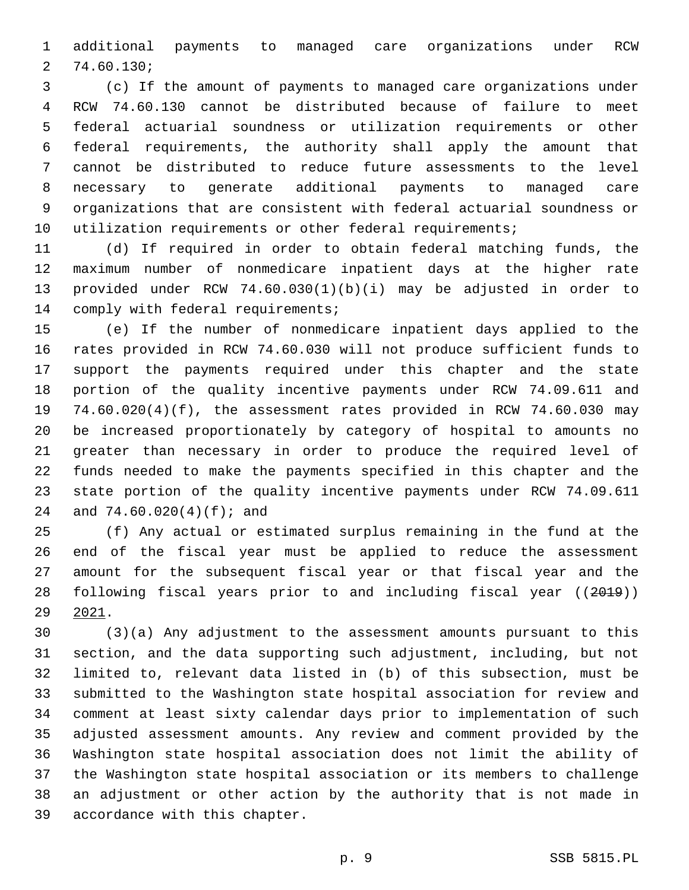additional payments to managed care organizations under RCW 74.60.130;2

 (c) If the amount of payments to managed care organizations under RCW 74.60.130 cannot be distributed because of failure to meet federal actuarial soundness or utilization requirements or other federal requirements, the authority shall apply the amount that cannot be distributed to reduce future assessments to the level necessary to generate additional payments to managed care organizations that are consistent with federal actuarial soundness or 10 utilization requirements or other federal requirements;

 (d) If required in order to obtain federal matching funds, the maximum number of nonmedicare inpatient days at the higher rate provided under RCW 74.60.030(1)(b)(i) may be adjusted in order to 14 comply with federal requirements;

 (e) If the number of nonmedicare inpatient days applied to the rates provided in RCW 74.60.030 will not produce sufficient funds to support the payments required under this chapter and the state portion of the quality incentive payments under RCW 74.09.611 and 74.60.020(4)(f), the assessment rates provided in RCW 74.60.030 may be increased proportionately by category of hospital to amounts no greater than necessary in order to produce the required level of funds needed to make the payments specified in this chapter and the state portion of the quality incentive payments under RCW 74.09.611 24 and 74.60.020(4)(f); and

 (f) Any actual or estimated surplus remaining in the fund at the end of the fiscal year must be applied to reduce the assessment amount for the subsequent fiscal year or that fiscal year and the following fiscal years prior to and including fiscal year ((2019)) 2021.

 (3)(a) Any adjustment to the assessment amounts pursuant to this section, and the data supporting such adjustment, including, but not limited to, relevant data listed in (b) of this subsection, must be submitted to the Washington state hospital association for review and comment at least sixty calendar days prior to implementation of such adjusted assessment amounts. Any review and comment provided by the Washington state hospital association does not limit the ability of the Washington state hospital association or its members to challenge an adjustment or other action by the authority that is not made in 39 accordance with this chapter.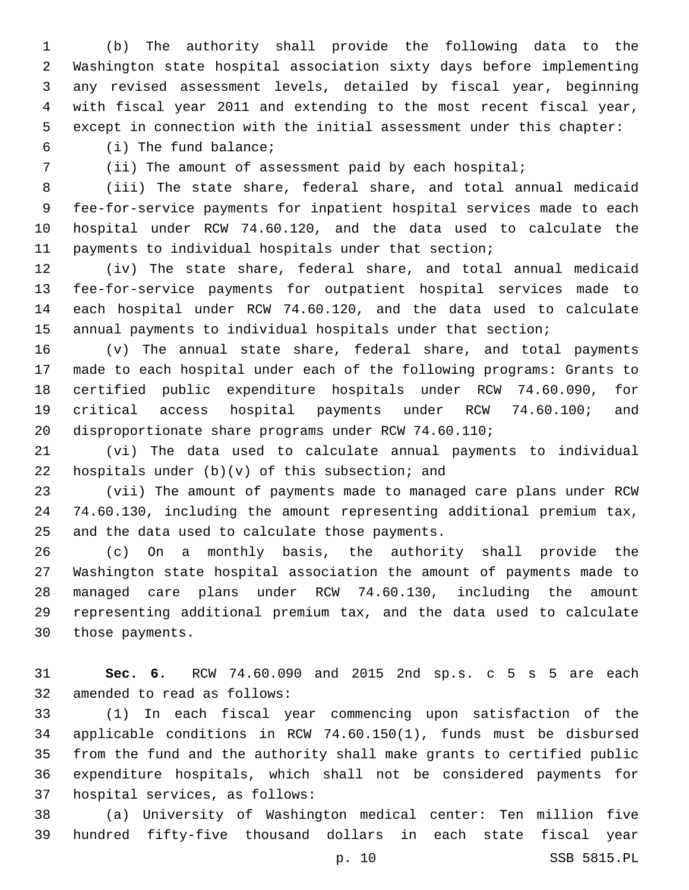(b) The authority shall provide the following data to the Washington state hospital association sixty days before implementing any revised assessment levels, detailed by fiscal year, beginning with fiscal year 2011 and extending to the most recent fiscal year, except in connection with the initial assessment under this chapter:

(i) The fund balance;6

(ii) The amount of assessment paid by each hospital;

 (iii) The state share, federal share, and total annual medicaid fee-for-service payments for inpatient hospital services made to each hospital under RCW 74.60.120, and the data used to calculate the payments to individual hospitals under that section;

 (iv) The state share, federal share, and total annual medicaid fee-for-service payments for outpatient hospital services made to each hospital under RCW 74.60.120, and the data used to calculate annual payments to individual hospitals under that section;

 (v) The annual state share, federal share, and total payments made to each hospital under each of the following programs: Grants to certified public expenditure hospitals under RCW 74.60.090, for critical access hospital payments under RCW 74.60.100; and disproportionate share programs under RCW 74.60.110;

 (vi) The data used to calculate annual payments to individual 22 hospitals under  $(b)(v)$  of this subsection; and

 (vii) The amount of payments made to managed care plans under RCW 74.60.130, including the amount representing additional premium tax, 25 and the data used to calculate those payments.

 (c) On a monthly basis, the authority shall provide the Washington state hospital association the amount of payments made to managed care plans under RCW 74.60.130, including the amount representing additional premium tax, and the data used to calculate 30 those payments.

 **Sec. 6.** RCW 74.60.090 and 2015 2nd sp.s. c 5 s 5 are each 32 amended to read as follows:

 (1) In each fiscal year commencing upon satisfaction of the applicable conditions in RCW 74.60.150(1), funds must be disbursed from the fund and the authority shall make grants to certified public expenditure hospitals, which shall not be considered payments for 37 hospital services, as follows:

 (a) University of Washington medical center: Ten million five hundred fifty-five thousand dollars in each state fiscal year

p. 10 SSB 5815.PL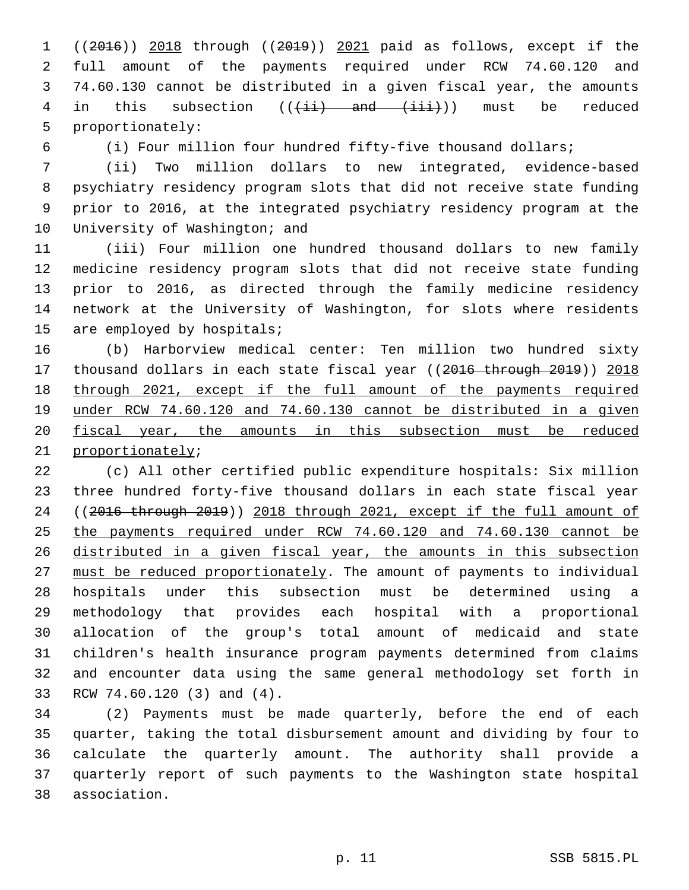((2016)) 2018 through ((2019)) 2021 paid as follows, except if the full amount of the payments required under RCW 74.60.120 and 74.60.130 cannot be distributed in a given fiscal year, the amounts 4 in this subsection  $((\pm i)^2)$  and  $(\pm i)^2$ ) must be reduced 5 proportionately:

(i) Four million four hundred fifty-five thousand dollars;

 (ii) Two million dollars to new integrated, evidence-based psychiatry residency program slots that did not receive state funding prior to 2016, at the integrated psychiatry residency program at the 10 University of Washington; and

 (iii) Four million one hundred thousand dollars to new family medicine residency program slots that did not receive state funding prior to 2016, as directed through the family medicine residency network at the University of Washington, for slots where residents 15 are employed by hospitals;

 (b) Harborview medical center: Ten million two hundred sixty 17 thousand dollars in each state fiscal year ((2016 through 2019)) 2018 through 2021, except if the full amount of the payments required under RCW 74.60.120 and 74.60.130 cannot be distributed in a given fiscal year, the amounts in this subsection must be reduced 21 proportionately;

 (c) All other certified public expenditure hospitals: Six million three hundred forty-five thousand dollars in each state fiscal year ((2016 through 2019)) 2018 through 2021, except if the full amount of the payments required under RCW 74.60.120 and 74.60.130 cannot be distributed in a given fiscal year, the amounts in this subsection must be reduced proportionately. The amount of payments to individual hospitals under this subsection must be determined using a methodology that provides each hospital with a proportional allocation of the group's total amount of medicaid and state children's health insurance program payments determined from claims and encounter data using the same general methodology set forth in 33 RCW 74.60.120 (3) and (4).

 (2) Payments must be made quarterly, before the end of each quarter, taking the total disbursement amount and dividing by four to calculate the quarterly amount. The authority shall provide a quarterly report of such payments to the Washington state hospital association.38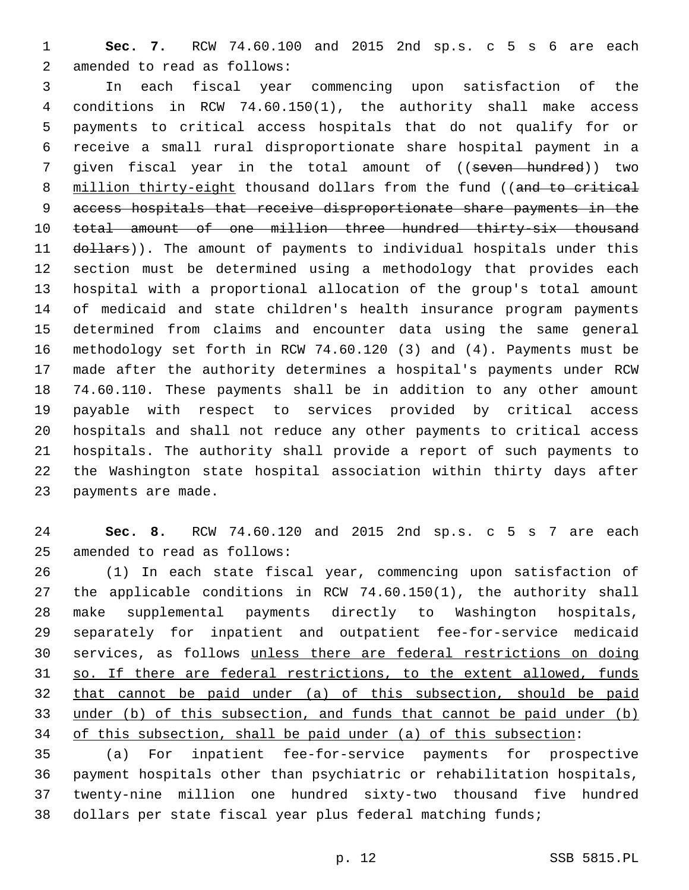**Sec. 7.** RCW 74.60.100 and 2015 2nd sp.s. c 5 s 6 are each 2 amended to read as follows:

 In each fiscal year commencing upon satisfaction of the conditions in RCW 74.60.150(1), the authority shall make access payments to critical access hospitals that do not qualify for or receive a small rural disproportionate share hospital payment in a 7 given fiscal year in the total amount of ((seven hundred)) two 8 million thirty-eight thousand dollars from the fund ((and to critical access hospitals that receive disproportionate share payments in the 10 total amount of one million three hundred thirty-six thousand 11 dollars)). The amount of payments to individual hospitals under this section must be determined using a methodology that provides each hospital with a proportional allocation of the group's total amount of medicaid and state children's health insurance program payments determined from claims and encounter data using the same general methodology set forth in RCW 74.60.120 (3) and (4). Payments must be made after the authority determines a hospital's payments under RCW 74.60.110. These payments shall be in addition to any other amount payable with respect to services provided by critical access hospitals and shall not reduce any other payments to critical access hospitals. The authority shall provide a report of such payments to the Washington state hospital association within thirty days after 23 payments are made.

 **Sec. 8.** RCW 74.60.120 and 2015 2nd sp.s. c 5 s 7 are each 25 amended to read as follows:

 (1) In each state fiscal year, commencing upon satisfaction of the applicable conditions in RCW 74.60.150(1), the authority shall make supplemental payments directly to Washington hospitals, separately for inpatient and outpatient fee-for-service medicaid services, as follows unless there are federal restrictions on doing so. If there are federal restrictions, to the extent allowed, funds that cannot be paid under (a) of this subsection, should be paid under (b) of this subsection, and funds that cannot be paid under (b) of this subsection, shall be paid under (a) of this subsection:

 (a) For inpatient fee-for-service payments for prospective payment hospitals other than psychiatric or rehabilitation hospitals, twenty-nine million one hundred sixty-two thousand five hundred dollars per state fiscal year plus federal matching funds;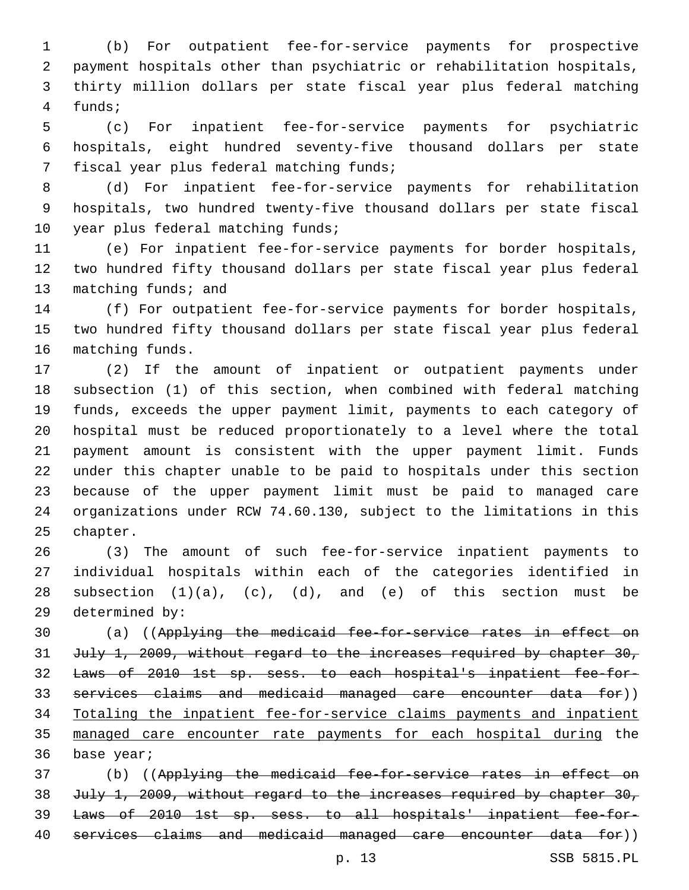(b) For outpatient fee-for-service payments for prospective payment hospitals other than psychiatric or rehabilitation hospitals, thirty million dollars per state fiscal year plus federal matching 4 funds;

 (c) For inpatient fee-for-service payments for psychiatric hospitals, eight hundred seventy-five thousand dollars per state 7 fiscal year plus federal matching funds;

 (d) For inpatient fee-for-service payments for rehabilitation hospitals, two hundred twenty-five thousand dollars per state fiscal 10 year plus federal matching funds;

 (e) For inpatient fee-for-service payments for border hospitals, two hundred fifty thousand dollars per state fiscal year plus federal 13 matching funds; and

 (f) For outpatient fee-for-service payments for border hospitals, two hundred fifty thousand dollars per state fiscal year plus federal 16 matching funds.

 (2) If the amount of inpatient or outpatient payments under subsection (1) of this section, when combined with federal matching funds, exceeds the upper payment limit, payments to each category of hospital must be reduced proportionately to a level where the total payment amount is consistent with the upper payment limit. Funds under this chapter unable to be paid to hospitals under this section because of the upper payment limit must be paid to managed care organizations under RCW 74.60.130, subject to the limitations in this 25 chapter.

 (3) The amount of such fee-for-service inpatient payments to individual hospitals within each of the categories identified in 28 subsection  $(1)(a)$ ,  $(c)$ ,  $(d)$ , and  $(e)$  of this section must be 29 determined by:

 (a) ((Applying the medicaid fee-for-service rates in effect on 31 July 1, 2009, without regard to the increases required by chapter 30, Laws of 2010 1st sp. sess. to each hospital's inpatient fee-for- services claims and medicaid managed care encounter data for)) Totaling the inpatient fee-for-service claims payments and inpatient managed care encounter rate payments for each hospital during the 36 base year;

 (b) ((Applying the medicaid fee-for-service rates in effect on 38 July 1, 2009, without regard to the increases required by chapter 30, Laws of 2010 1st sp. sess. to all hospitals' inpatient fee-for-services claims and medicaid managed care encounter data for))

p. 13 SSB 5815.PL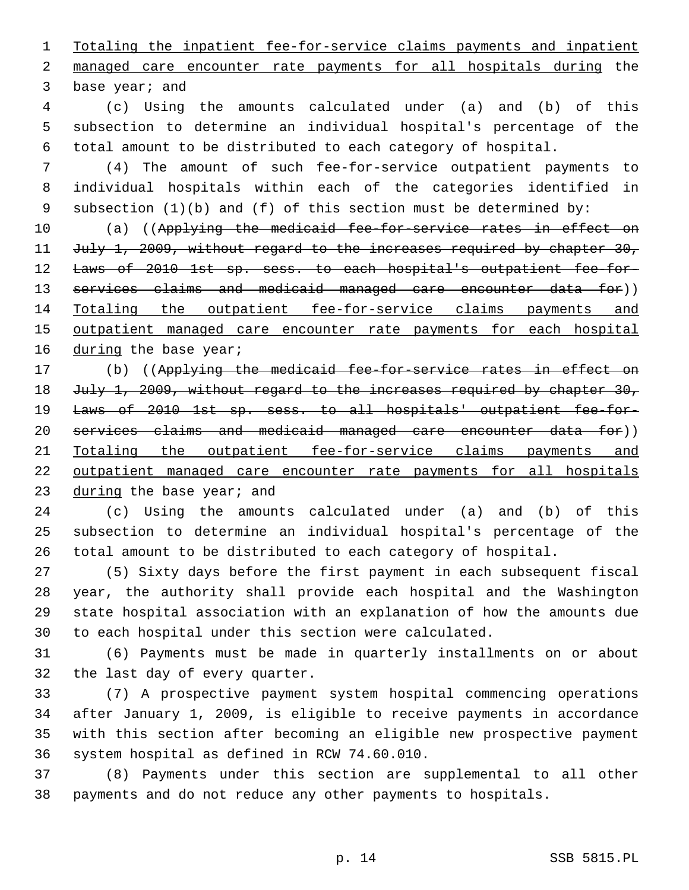Totaling the inpatient fee-for-service claims payments and inpatient managed care encounter rate payments for all hospitals during the 3 base year; and

 (c) Using the amounts calculated under (a) and (b) of this subsection to determine an individual hospital's percentage of the total amount to be distributed to each category of hospital.

 (4) The amount of such fee-for-service outpatient payments to individual hospitals within each of the categories identified in subsection (1)(b) and (f) of this section must be determined by:

10 (a) ((Applying the medicaid fee-for-service rates in effect on 11 July 1, 2009, without regard to the increases required by chapter 30, 12 Laws of 2010 1st sp. sess. to each hospital's outpatient fee-for-13 services claims and medicaid managed care encounter data for)) Totaling the outpatient fee-for-service claims payments and 15 outpatient managed care encounter rate payments for each hospital 16 during the base year;

 (b) ((Applying the medicaid fee-for-service rates in effect on 18 July 1, 2009, without regard to the increases required by chapter 30, Laws of 2010 1st sp. sess. to all hospitals' outpatient fee-for- services claims and medicaid managed care encounter data for)) Totaling the outpatient fee-for-service claims payments and 22 outpatient managed care encounter rate payments for all hospitals 23 during the base year; and

 (c) Using the amounts calculated under (a) and (b) of this subsection to determine an individual hospital's percentage of the total amount to be distributed to each category of hospital.

 (5) Sixty days before the first payment in each subsequent fiscal year, the authority shall provide each hospital and the Washington state hospital association with an explanation of how the amounts due to each hospital under this section were calculated.

 (6) Payments must be made in quarterly installments on or about 32 the last day of every quarter.

 (7) A prospective payment system hospital commencing operations after January 1, 2009, is eligible to receive payments in accordance with this section after becoming an eligible new prospective payment 36 system hospital as defined in RCW 74.60.010.

 (8) Payments under this section are supplemental to all other payments and do not reduce any other payments to hospitals.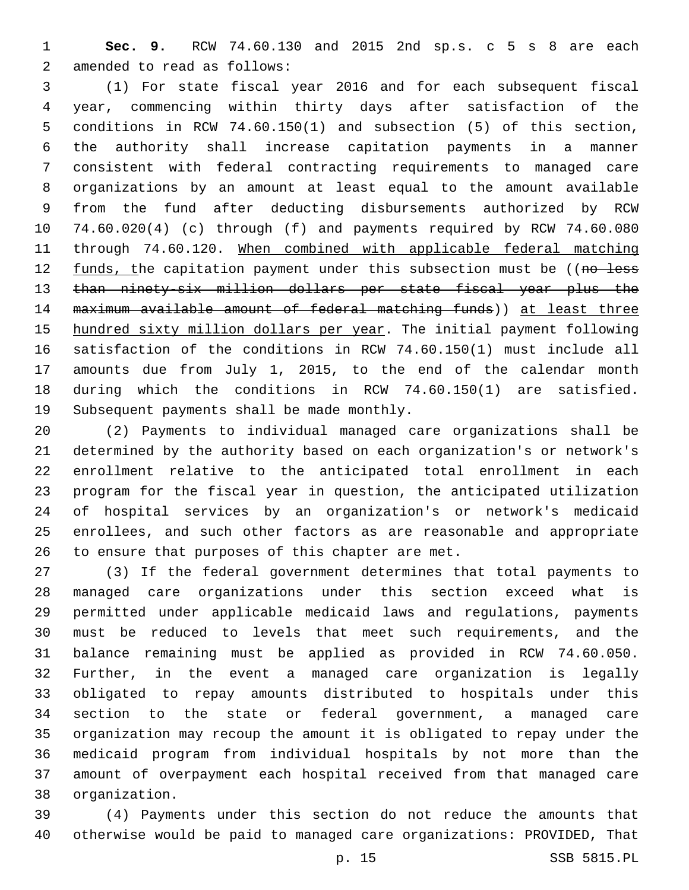**Sec. 9.** RCW 74.60.130 and 2015 2nd sp.s. c 5 s 8 are each 2 amended to read as follows:

 (1) For state fiscal year 2016 and for each subsequent fiscal year, commencing within thirty days after satisfaction of the conditions in RCW 74.60.150(1) and subsection (5) of this section, the authority shall increase capitation payments in a manner consistent with federal contracting requirements to managed care organizations by an amount at least equal to the amount available from the fund after deducting disbursements authorized by RCW 74.60.020(4) (c) through (f) and payments required by RCW 74.60.080 through 74.60.120. When combined with applicable federal matching 12 funds, the capitation payment under this subsection must be ((no less than ninety-six million dollars per state fiscal year plus the maximum available amount of federal matching funds)) at least three hundred sixty million dollars per year. The initial payment following satisfaction of the conditions in RCW 74.60.150(1) must include all amounts due from July 1, 2015, to the end of the calendar month during which the conditions in RCW 74.60.150(1) are satisfied. 19 Subsequent payments shall be made monthly.

 (2) Payments to individual managed care organizations shall be determined by the authority based on each organization's or network's enrollment relative to the anticipated total enrollment in each program for the fiscal year in question, the anticipated utilization of hospital services by an organization's or network's medicaid enrollees, and such other factors as are reasonable and appropriate 26 to ensure that purposes of this chapter are met.

 (3) If the federal government determines that total payments to managed care organizations under this section exceed what is permitted under applicable medicaid laws and regulations, payments must be reduced to levels that meet such requirements, and the balance remaining must be applied as provided in RCW 74.60.050. Further, in the event a managed care organization is legally obligated to repay amounts distributed to hospitals under this section to the state or federal government, a managed care organization may recoup the amount it is obligated to repay under the medicaid program from individual hospitals by not more than the amount of overpayment each hospital received from that managed care organization.38

 (4) Payments under this section do not reduce the amounts that otherwise would be paid to managed care organizations: PROVIDED, That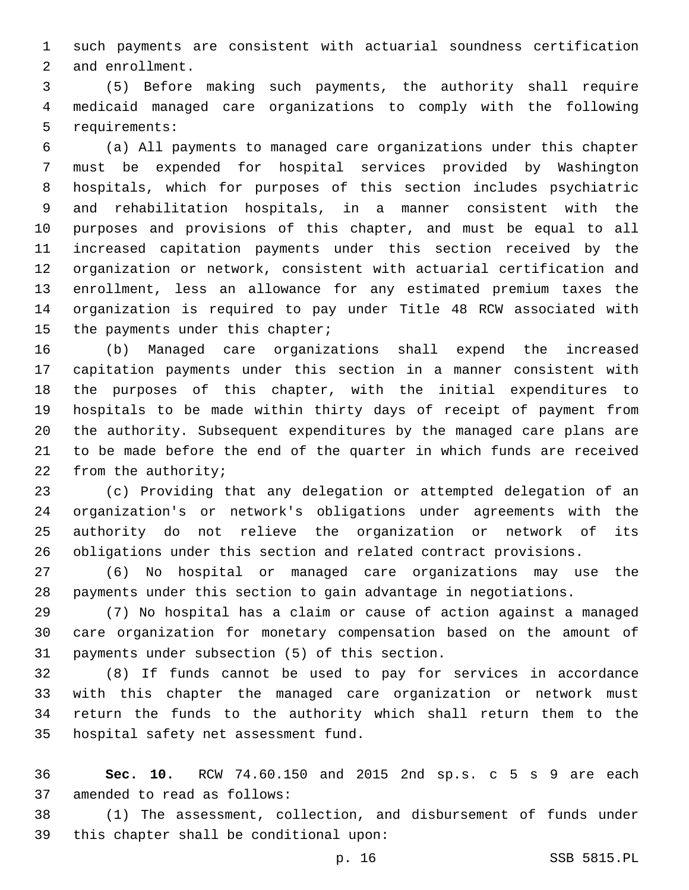such payments are consistent with actuarial soundness certification 2 and enrollment.

 (5) Before making such payments, the authority shall require medicaid managed care organizations to comply with the following 5 requirements:

 (a) All payments to managed care organizations under this chapter must be expended for hospital services provided by Washington hospitals, which for purposes of this section includes psychiatric and rehabilitation hospitals, in a manner consistent with the purposes and provisions of this chapter, and must be equal to all increased capitation payments under this section received by the organization or network, consistent with actuarial certification and enrollment, less an allowance for any estimated premium taxes the organization is required to pay under Title 48 RCW associated with 15 the payments under this chapter;

 (b) Managed care organizations shall expend the increased capitation payments under this section in a manner consistent with the purposes of this chapter, with the initial expenditures to hospitals to be made within thirty days of receipt of payment from the authority. Subsequent expenditures by the managed care plans are to be made before the end of the quarter in which funds are received 22 from the authority;

 (c) Providing that any delegation or attempted delegation of an organization's or network's obligations under agreements with the authority do not relieve the organization or network of its obligations under this section and related contract provisions.

 (6) No hospital or managed care organizations may use the payments under this section to gain advantage in negotiations.

 (7) No hospital has a claim or cause of action against a managed care organization for monetary compensation based on the amount of 31 payments under subsection (5) of this section.

 (8) If funds cannot be used to pay for services in accordance with this chapter the managed care organization or network must return the funds to the authority which shall return them to the 35 hospital safety net assessment fund.

 **Sec. 10.** RCW 74.60.150 and 2015 2nd sp.s. c 5 s 9 are each 37 amended to read as follows:

 (1) The assessment, collection, and disbursement of funds under 39 this chapter shall be conditional upon: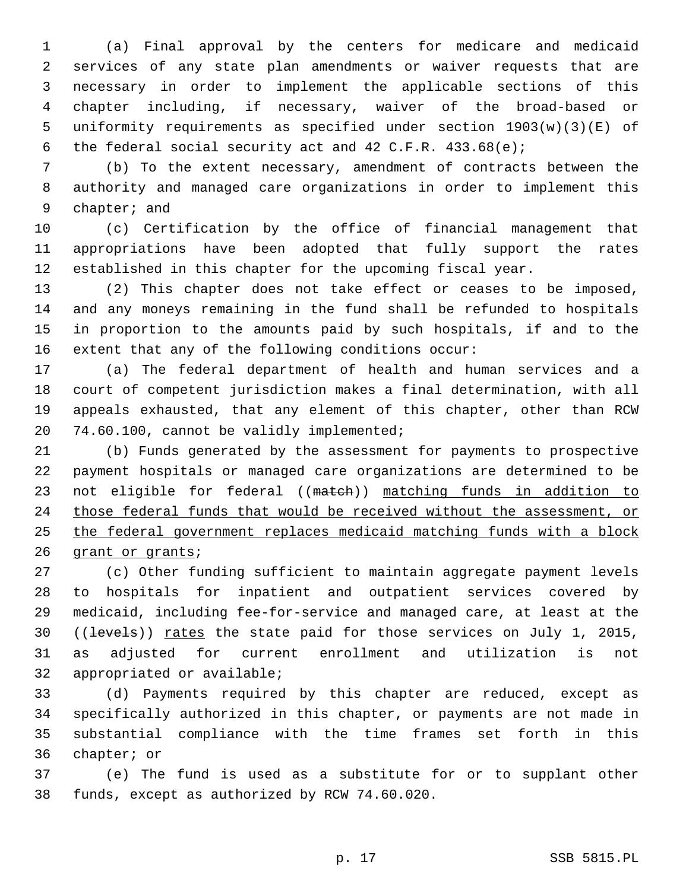(a) Final approval by the centers for medicare and medicaid services of any state plan amendments or waiver requests that are necessary in order to implement the applicable sections of this chapter including, if necessary, waiver of the broad-based or uniformity requirements as specified under section 1903(w)(3)(E) of the federal social security act and 42 C.F.R. 433.68(e);

 (b) To the extent necessary, amendment of contracts between the authority and managed care organizations in order to implement this 9 chapter; and

 (c) Certification by the office of financial management that appropriations have been adopted that fully support the rates established in this chapter for the upcoming fiscal year.

 (2) This chapter does not take effect or ceases to be imposed, and any moneys remaining in the fund shall be refunded to hospitals in proportion to the amounts paid by such hospitals, if and to the extent that any of the following conditions occur:

 (a) The federal department of health and human services and a court of competent jurisdiction makes a final determination, with all appeals exhausted, that any element of this chapter, other than RCW 20 74.60.100, cannot be validly implemented;

 (b) Funds generated by the assessment for payments to prospective payment hospitals or managed care organizations are determined to be 23 not eligible for federal ((match)) matching funds in addition to those federal funds that would be received without the assessment, or the federal government replaces medicaid matching funds with a block 26 grant or grants;

 (c) Other funding sufficient to maintain aggregate payment levels to hospitals for inpatient and outpatient services covered by medicaid, including fee-for-service and managed care, at least at the 30 ((levels)) rates the state paid for those services on July 1, 2015, as adjusted for current enrollment and utilization is not 32 appropriated or available;

 (d) Payments required by this chapter are reduced, except as specifically authorized in this chapter, or payments are not made in substantial compliance with the time frames set forth in this 36 chapter; or

 (e) The fund is used as a substitute for or to supplant other 38 funds, except as authorized by RCW 74.60.020.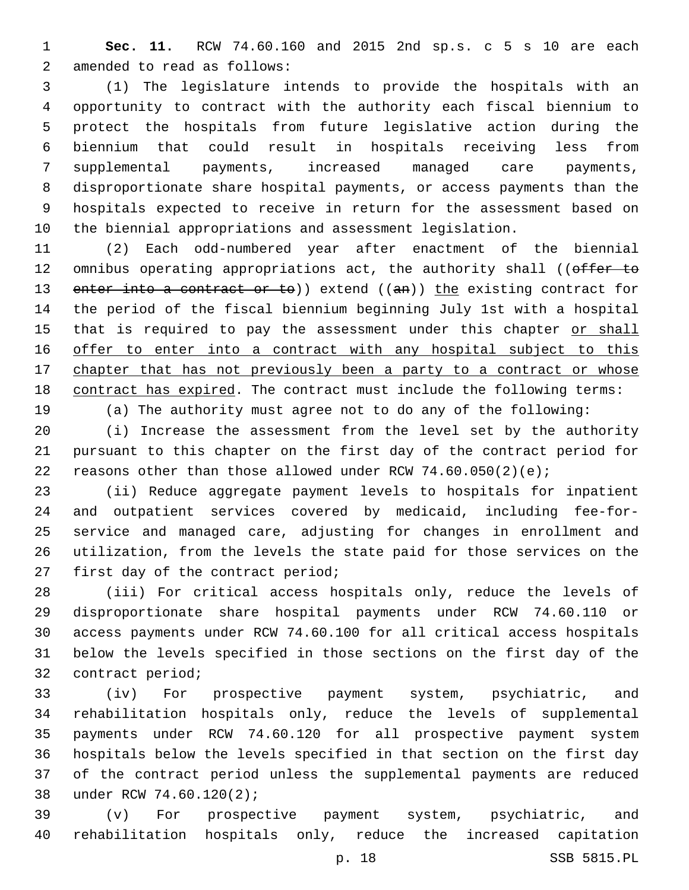**Sec. 11.** RCW 74.60.160 and 2015 2nd sp.s. c 5 s 10 are each 2 amended to read as follows:

 (1) The legislature intends to provide the hospitals with an opportunity to contract with the authority each fiscal biennium to protect the hospitals from future legislative action during the biennium that could result in hospitals receiving less from supplemental payments, increased managed care payments, disproportionate share hospital payments, or access payments than the hospitals expected to receive in return for the assessment based on the biennial appropriations and assessment legislation.

 (2) Each odd-numbered year after enactment of the biennial 12 omnibus operating appropriations act, the authority shall ((offer to 13 enter into a contract or to)) extend ((an)) the existing contract for the period of the fiscal biennium beginning July 1st with a hospital 15 that is required to pay the assessment under this chapter or shall offer to enter into a contract with any hospital subject to this 17 chapter that has not previously been a party to a contract or whose contract has expired. The contract must include the following terms: (a) The authority must agree not to do any of the following:

 (i) Increase the assessment from the level set by the authority pursuant to this chapter on the first day of the contract period for 22 reasons other than those allowed under RCW  $74.60.050(2)(e)$ ;

 (ii) Reduce aggregate payment levels to hospitals for inpatient and outpatient services covered by medicaid, including fee-for- service and managed care, adjusting for changes in enrollment and utilization, from the levels the state paid for those services on the 27 first day of the contract period;

 (iii) For critical access hospitals only, reduce the levels of disproportionate share hospital payments under RCW 74.60.110 or access payments under RCW 74.60.100 for all critical access hospitals below the levels specified in those sections on the first day of the 32 contract period;

 (iv) For prospective payment system, psychiatric, and rehabilitation hospitals only, reduce the levels of supplemental payments under RCW 74.60.120 for all prospective payment system hospitals below the levels specified in that section on the first day of the contract period unless the supplemental payments are reduced 38 under RCW 74.60.120(2);

 (v) For prospective payment system, psychiatric, and rehabilitation hospitals only, reduce the increased capitation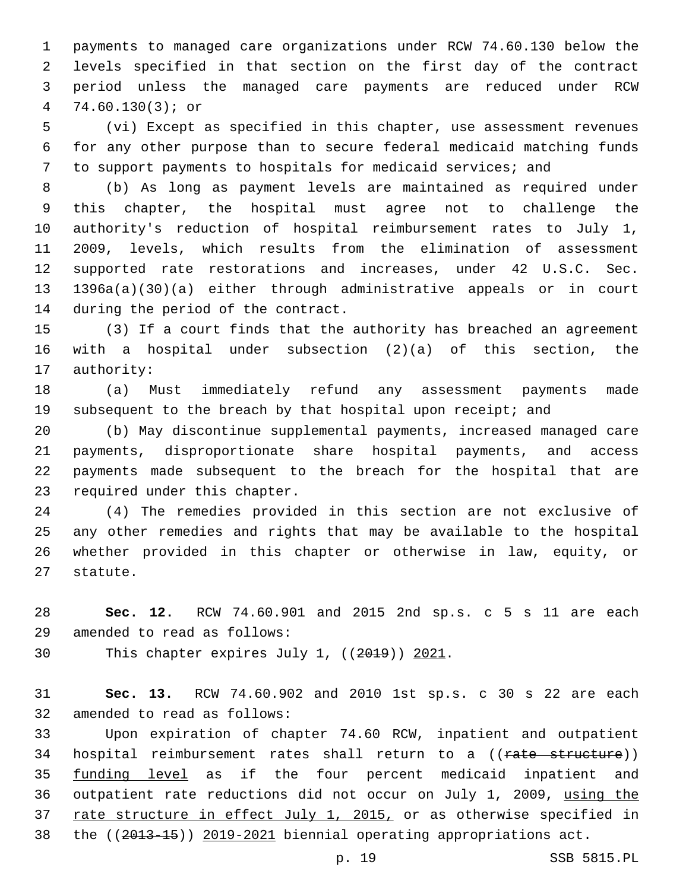payments to managed care organizations under RCW 74.60.130 below the levels specified in that section on the first day of the contract period unless the managed care payments are reduced under RCW 74.60.130(3); or

 (vi) Except as specified in this chapter, use assessment revenues for any other purpose than to secure federal medicaid matching funds to support payments to hospitals for medicaid services; and

 (b) As long as payment levels are maintained as required under this chapter, the hospital must agree not to challenge the authority's reduction of hospital reimbursement rates to July 1, 2009, levels, which results from the elimination of assessment supported rate restorations and increases, under 42 U.S.C. Sec. 1396a(a)(30)(a) either through administrative appeals or in court 14 during the period of the contract.

 (3) If a court finds that the authority has breached an agreement with a hospital under subsection (2)(a) of this section, the 17 authority:

 (a) Must immediately refund any assessment payments made 19 subsequent to the breach by that hospital upon receipt; and

 (b) May discontinue supplemental payments, increased managed care payments, disproportionate share hospital payments, and access payments made subsequent to the breach for the hospital that are 23 required under this chapter.

 (4) The remedies provided in this section are not exclusive of any other remedies and rights that may be available to the hospital whether provided in this chapter or otherwise in law, equity, or 27 statute.

 **Sec. 12.** RCW 74.60.901 and 2015 2nd sp.s. c 5 s 11 are each 29 amended to read as follows:

30 This chapter expires July 1, ((2019)) 2021.

 **Sec. 13.** RCW 74.60.902 and 2010 1st sp.s. c 30 s 22 are each 32 amended to read as follows:

 Upon expiration of chapter 74.60 RCW, inpatient and outpatient 34 hospital reimbursement rates shall return to a ((rate structure)) 35 funding level as if the four percent medicaid inpatient and outpatient rate reductions did not occur on July 1, 2009, using the 37 rate structure in effect July 1, 2015, or as otherwise specified in the ((2013-15)) 2019-2021 biennial operating appropriations act.

p. 19 SSB 5815.PL